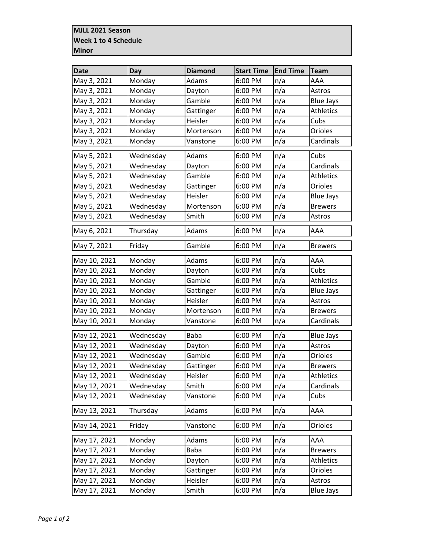## **MJLL 2021 Season Week 1 to 4 Schedule Minor**

| <b>Date</b>  | <b>Day</b> | <b>Diamond</b> | <b>Start Time</b> | <b>End Time</b> | <b>Team</b>      |
|--------------|------------|----------------|-------------------|-----------------|------------------|
| May 3, 2021  | Monday     | Adams          | 6:00 PM           | n/a             | AAA              |
| May 3, 2021  | Monday     | Dayton         | 6:00 PM           | n/a             | Astros           |
| May 3, 2021  | Monday     | Gamble         | 6:00 PM           | n/a             | <b>Blue Jays</b> |
| May 3, 2021  | Monday     | Gattinger      | 6:00 PM           | n/a             | <b>Athletics</b> |
| May 3, 2021  | Monday     | Heisler        | 6:00 PM           | n/a             | Cubs             |
| May 3, 2021  | Monday     | Mortenson      | 6:00 PM           | n/a             | Orioles          |
| May 3, 2021  | Monday     | Vanstone       | 6:00 PM           | n/a             | Cardinals        |
| May 5, 2021  | Wednesday  | Adams          | 6:00 PM           | n/a             | Cubs             |
| May 5, 2021  | Wednesday  | Dayton         | 6:00 PM           | n/a             | Cardinals        |
| May 5, 2021  | Wednesday  | Gamble         | 6:00 PM           | n/a             | <b>Athletics</b> |
| May 5, 2021  | Wednesday  | Gattinger      | 6:00 PM           | n/a             | Orioles          |
| May 5, 2021  | Wednesday  | Heisler        | 6:00 PM           | n/a             | <b>Blue Jays</b> |
| May 5, 2021  | Wednesday  | Mortenson      | 6:00 PM           | n/a             | <b>Brewers</b>   |
| May 5, 2021  | Wednesday  | Smith          | 6:00 PM           | n/a             | Astros           |
| May 6, 2021  | Thursday   | Adams          | 6:00 PM           | n/a             | AAA              |
| May 7, 2021  | Friday     | Gamble         | 6:00 PM           | n/a             | <b>Brewers</b>   |
| May 10, 2021 | Monday     | Adams          | 6:00 PM           | n/a             | AAA              |
| May 10, 2021 | Monday     | Dayton         | 6:00 PM           | n/a             | Cubs             |
| May 10, 2021 | Monday     | Gamble         | 6:00 PM           | n/a             | Athletics        |
| May 10, 2021 | Monday     | Gattinger      | 6:00 PM           | n/a             | <b>Blue Jays</b> |
| May 10, 2021 | Monday     | Heisler        | 6:00 PM           | n/a             | Astros           |
| May 10, 2021 | Monday     | Mortenson      | 6:00 PM           | n/a             | <b>Brewers</b>   |
| May 10, 2021 | Monday     | Vanstone       | 6:00 PM           | n/a             | Cardinals        |
| May 12, 2021 | Wednesday  | <b>Baba</b>    | 6:00 PM           | n/a             | <b>Blue Jays</b> |
| May 12, 2021 | Wednesday  | Dayton         | 6:00 PM           | n/a             | Astros           |
| May 12, 2021 | Wednesday  | Gamble         | 6:00 PM           | n/a             | Orioles          |
| May 12, 2021 | Wednesday  | Gattinger      | 6:00 PM           | n/a             | <b>Brewers</b>   |
| May 12, 2021 | Wednesday  | Heisler        | 6:00 PM           | n/a             | Athletics        |
| May 12, 2021 | Wednesday  | Smith          | 6:00 PM           | n/a             | Cardinals        |
| May 12, 2021 | Wednesday  | Vanstone       | 6:00 PM           | n/a             | Cubs             |
| May 13, 2021 | Thursday   | Adams          | 6:00 PM           | n/a             | AAA              |
| May 14, 2021 | Friday     | Vanstone       | 6:00 PM           | n/a             | Orioles          |
| May 17, 2021 | Monday     | Adams          | 6:00 PM           | n/a             | AAA              |
| May 17, 2021 | Monday     | Baba           | 6:00 PM           | n/a             | <b>Brewers</b>   |
| May 17, 2021 | Monday     | Dayton         | 6:00 PM           | n/a             | Athletics        |
| May 17, 2021 | Monday     | Gattinger      | 6:00 PM           | n/a             | Orioles          |
| May 17, 2021 | Monday     | Heisler        | 6:00 PM           | n/a             | Astros           |
| May 17, 2021 | Monday     | Smith          | 6:00 PM           | n/a             | <b>Blue Jays</b> |